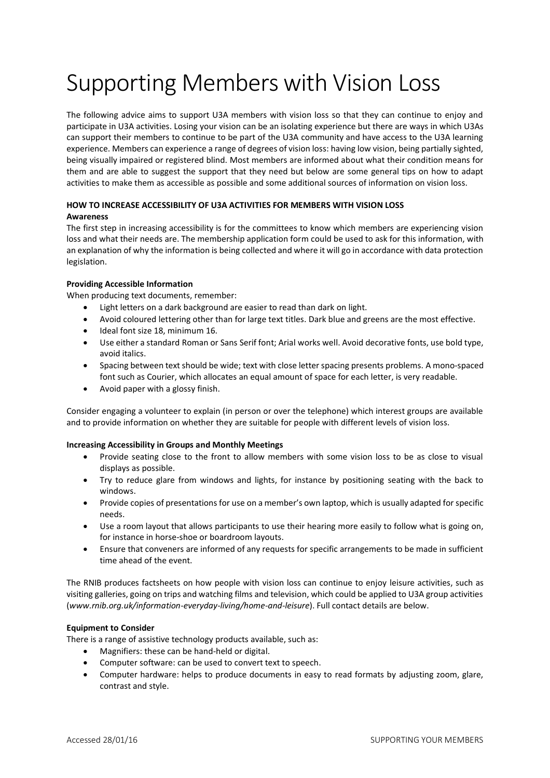# Supporting Members with Vision Loss

The following advice aims to support U3A members with vision loss so that they can continue to enjoy and participate in U3A activities. Losing your vision can be an isolating experience but there are ways in which U3As can support their members to continue to be part of the U3A community and have access to the U3A learning experience. Members can experience a range of degrees of vision loss: having low vision, being partially sighted, being visually impaired or registered blind. Most members are informed about what their condition means for them and are able to suggest the support that they need but below are some general tips on how to adapt activities to make them as accessible as possible and some additional sources of information on vision loss.

#### **HOW TO INCREASE ACCESSIBILITY OF U3A ACTIVITIES FOR MEMBERS WITH VISION LOSS Awareness**

The first step in increasing accessibility is for the committees to know which members are experiencing vision loss and what their needs are. The membership application form could be used to ask for this information, with an explanation of why the information is being collected and where it will go in accordance with data protection legislation.

## **Providing Accessible Information**

When producing text documents, remember:

- Light letters on a dark background are easier to read than dark on light.
- Avoid coloured lettering other than for large text titles. Dark blue and greens are the most effective.
- Ideal font size 18, minimum 16.
- Use either a standard Roman or Sans Serif font; Arial works well. Avoid decorative fonts, use bold type, avoid italics.
- Spacing between text should be wide; text with close letter spacing presents problems. A mono-spaced font such as Courier, which allocates an equal amount of space for each letter, is very readable.
- Avoid paper with a glossy finish.

Consider engaging a volunteer to explain (in person or over the telephone) which interest groups are available and to provide information on whether they are suitable for people with different levels of vision loss.

### **Increasing Accessibility in Groups and Monthly Meetings**

- Provide seating close to the front to allow members with some vision loss to be as close to visual displays as possible.
- Try to reduce glare from windows and lights, for instance by positioning seating with the back to windows.
- Provide copies of presentations for use on a member's own laptop, which is usually adapted for specific needs.
- Use a room layout that allows participants to use their hearing more easily to follow what is going on, for instance in horse-shoe or boardroom layouts.
- Ensure that conveners are informed of any requests for specific arrangements to be made in sufficient time ahead of the event.

The RNIB produces factsheets on how people with vision loss can continue to enjoy leisure activities, such as visiting galleries, going on trips and watching films and television, which could be applied to U3A group activities (*www.rnib.org.uk/information-everyday-living/home-and-leisure*). Full contact details are below.

# **Equipment to Consider**

There is a range of assistive technology products available, such as:

- Magnifiers: these can be hand-held or digital.
- Computer software: can be used to convert text to speech.
- Computer hardware: helps to produce documents in easy to read formats by adjusting zoom, glare, contrast and style.